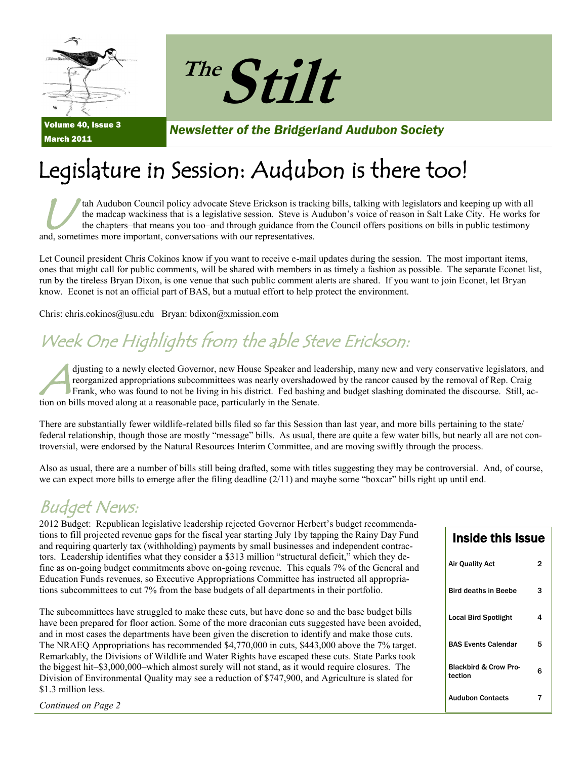



Volume 40, Issue 3 March 2011

*Newsletter of the Bridgerland Audubon Society*

# Legislature in Session: Audubon is there too!

 $\boldsymbol{U}$ tah Audubon Council policy advocate Steve Erickson is tracking bills, talking with legislators and keeping up with all the madcap wackiness that is a legislative session. Steve is Audubon's voice of reason in Salt Lake City. He works for the chapters–that means you too–and through guidance from the Council offers positions on bills in public testimony and, sometimes more important, conversations with our representatives.

Let Council president Chris Cokinos know if you want to receive e-mail updates during the session. The most important items, ones that might call for public comments, will be shared with members in as timely a fashion as possible. The separate Econet list, run by the tireless Bryan Dixon, is one venue that such public comment alerts are shared. If you want to join Econet, let Bryan know. Econet is not an official part of BAS, but a mutual effort to help protect the environment.

Chris: chris.cokinos@usu.edu Bryan: bdixon@xmission.com

## Week One Highlights from the able Steve Erickson:

dju<br>red<br>Fr djusting to a newly elected Governor, new House Speaker and leadership, many new and very conservative legislators, and reorganized appropriations subcommittees was nearly overshadowed by the rancor caused by the removal of Rep. Craig Frank, who was found to not be living in his district. Fed bashing and budget slashing dominated the discourse. Still, action on bills moved along at a reasonable pace, particularly in the Senate.

There are substantially fewer wildlife-related bills filed so far this Session than last year, and more bills pertaining to the state/ federal relationship, though those are mostly "message" bills. As usual, there are quite a few water bills, but nearly all are not controversial, were endorsed by the Natural Resources Interim Committee, and are moving swiftly through the process.

Also as usual, there are a number of bills still being drafted, some with titles suggesting they may be controversial. And, of course, we can expect more bills to emerge after the filing deadline  $(2/11)$  and maybe some "boxcar" bills right up until end.

#### Budget News:

2012 Budget: Republican legislative leadership rejected Governor Herbert's budget recommendations to fill projected revenue gaps for the fiscal year starting July 1by tapping the Rainy Day Fund and requiring quarterly tax (withholding) payments by small businesses and independent contractors. Leadership identifies what they consider a \$313 million "structural deficit," which they define as on-going budget commitments above on-going revenue. This equals 7% of the General and Education Funds revenues, so Executive Appropriations Committee has instructed all appropriations subcommittees to cut 7% from the base budgets of all departments in their portfolio.

The subcommittees have struggled to make these cuts, but have done so and the base budget bills have been prepared for floor action. Some of the more draconian cuts suggested have been avoided, and in most cases the departments have been given the discretion to identify and make those cuts. The NRAEQ Appropriations has recommended \$4,770,000 in cuts, \$443,000 above the 7% target. Remarkably, the Divisions of Wildlife and Water Rights have escaped these cuts. State Parks took the biggest hit–\$3,000,000–which almost surely will not stand, as it would require closures. The Division of Environmental Quality may see a reduction of \$747,900, and Agriculture is slated for \$1.3 million less.

*Continued on Page 2*

| <b>Inside this Issue</b>                    |   |
|---------------------------------------------|---|
| <b>Air Quality Act</b>                      | 2 |
| <b>Bird deaths in Beebe</b>                 | 3 |
| <b>Local Bird Spotlight</b>                 | 4 |
| <b>BAS Events Calendar</b>                  | 5 |
| <b>Blackbird &amp; Crow Pro-</b><br>tection | ี |
| <b>Audubon Contacts</b>                     |   |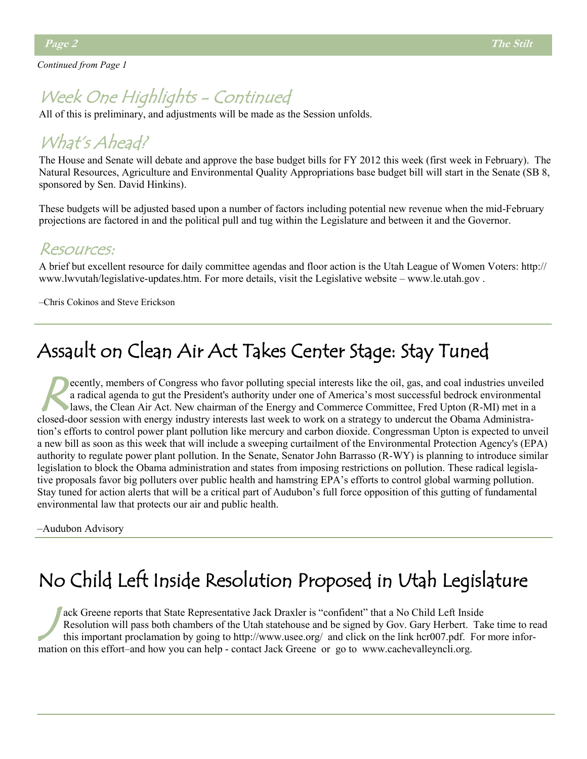*Continued from Page 1*

#### Week One Highlights - Continued

All of this is preliminary, and adjustments will be made as the Session unfolds.

#### What's Ahead?

The House and Senate will debate and approve the base budget bills for FY 2012 this week (first week in February). The Natural Resources, Agriculture and Environmental Quality Appropriations base budget bill will start in the Senate (SB 8, sponsored by Sen. David Hinkins).

These budgets will be adjusted based upon a number of factors including potential new revenue when the mid-February projections are factored in and the political pull and tug within the Legislature and between it and the Governor.

#### Resources:

A brief but excellent resource for daily committee agendas and floor action is the Utah League of Women Voters: http:// www.lwvutah/legislative-updates.htm. For more details, visit the Legislative website – www.le.utah.gov .

–Chris Cokinos and Steve Erickson

## Assault on Clean Air Act Takes Center Stage: Stay Tuned

 $R_{\text{av}}^{\text{ec}}$ ecently, members of Congress who favor polluting special interests like the oil, gas, and coal industries unveiled a radical agenda to gut the President's authority under one of America's most successful bedrock environmental laws, the Clean Air Act. New chairman of the Energy and Commerce Committee, Fred Upton (R-MI) met in a closed-door session with energy industry interests last week to work on a strategy to undercut the Obama Administration's efforts to control power plant pollution like mercury and carbon dioxide. Congressman Upton is expected to unveil a new bill as soon as this week that will include a sweeping curtailment of the Environmental Protection Agency's (EPA) authority to regulate power plant pollution. In the Senate, Senator John Barrasso (R-WY) is planning to introduce similar legislation to block the Obama administration and states from imposing restrictions on pollution. These radical legislative proposals favor big polluters over public health and hamstring EPA's efforts to control global warming pollution. Stay tuned for action alerts that will be a critical part of Audubon's full force opposition of this gutting of fundamental environmental law that protects our air and public health.

–Audubon Advisory

### No Child Left Inside Resolution Proposed in Utah Legislature

 $\frac{1}{t}$ ack Greene reports that State Representative Jack Draxler is "confident" that a No Child Left Inside Resolution will pass both chambers of the Utah statehouse and be signed by Gov. Gary Herbert. Take time to read this important proclamation by going to http://www.usee.org/ and click on the link hcr007.pdf. For more information on this effort–and how you can help - contact Jack Greene or go to www.cachevalleyncli.org.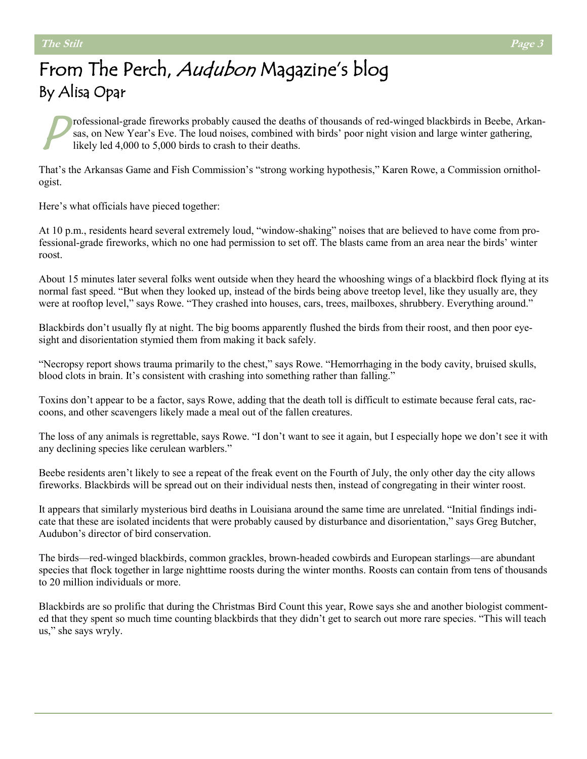## From The Perch, Audubon Magazine's blog By Alisa Opar

 $P_{\text{s}}^{\text{r}}$ rofessional-grade fireworks probably caused the deaths of thousands of red-winged blackbirds in Beebe, Arkansas, on New Year's Eve. The loud noises, combined with birds' poor night vision and large winter gathering, likely led 4,000 to 5,000 birds to crash to their deaths.

That's the Arkansas Game and Fish Commission's "strong working hypothesis," Karen Rowe, a Commission ornithologist.

Here's what officials have pieced together:

At 10 p.m., residents heard several extremely loud, "window-shaking" noises that are believed to have come from professional-grade fireworks, which no one had permission to set off. The blasts came from an area near the birds' winter roost.

About 15 minutes later several folks went outside when they heard the whooshing wings of a blackbird flock flying at its normal fast speed. "But when they looked up, instead of the birds being above treetop level, like they usually are, they were at rooftop level," says Rowe. "They crashed into houses, cars, trees, mailboxes, shrubbery. Everything around."

Blackbirds don't usually fly at night. The big booms apparently flushed the birds from their roost, and then poor eyesight and disorientation stymied them from making it back safely.

"Necropsy report shows trauma primarily to the chest," says Rowe. "Hemorrhaging in the body cavity, bruised skulls, blood clots in brain. It's consistent with crashing into something rather than falling."

Toxins don't appear to be a factor, says Rowe, adding that the death toll is difficult to estimate because feral cats, raccoons, and other scavengers likely made a meal out of the fallen creatures.

The loss of any animals is regrettable, says Rowe. "I don't want to see it again, but I especially hope we don't see it with any declining species like cerulean warblers."

Beebe residents aren't likely to see a repeat of the freak event on the Fourth of July, the only other day the city allows fireworks. Blackbirds will be spread out on their individual nests then, instead of congregating in their winter roost.

It appears that similarly mysterious bird deaths in Louisiana around the same time are unrelated. "Initial findings indicate that these are isolated incidents that were probably caused by disturbance and disorientation," says Greg Butcher, Audubon's director of bird conservation.

The birds—red-winged blackbirds, common grackles, brown-headed cowbirds and European starlings—are abundant species that flock together in large nighttime roosts during the winter months. Roosts can contain from tens of thousands to 20 million individuals or more.

Blackbirds are so prolific that during the Christmas Bird Count this year, Rowe says she and another biologist commented that they spent so much time counting blackbirds that they didn't get to search out more rare species. "This will teach us," she says wryly.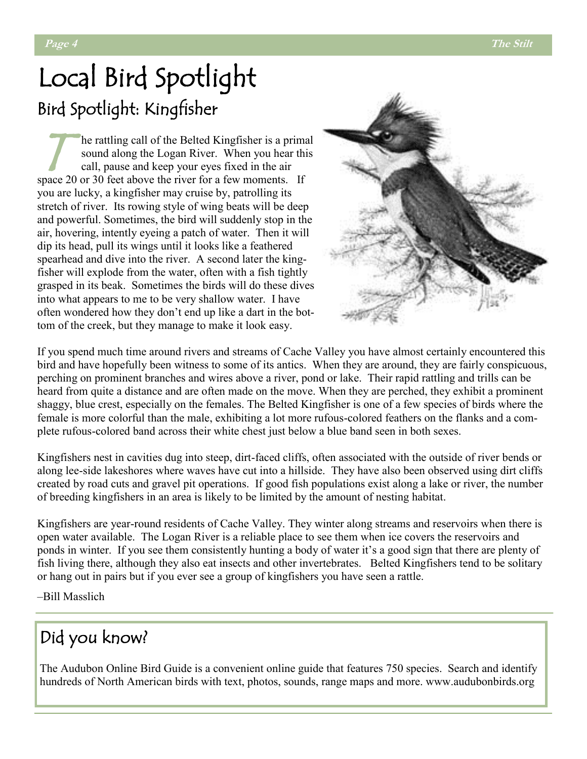# Local Bird Spotlight Bird Spotlight: Kingfisher

T he rattling call of the Belted Kingfisher is a primal sound along the Logan River. When you hear this call, pause and keep your eyes fixed in the air space 20 or 30 feet above the river for a few moments. If you are lucky, a kingfisher may cruise by, patrolling its stretch of river. Its rowing style of wing beats will be deep and powerful. Sometimes, the bird will suddenly stop in the air, hovering, intently eyeing a patch of water. Then it will dip its head, pull its wings until it looks like a feathered spearhead and dive into the river. A second later the kingfisher will explode from the water, often with a fish tightly grasped in its beak. Sometimes the birds will do these dives into what appears to me to be very shallow water. I have often wondered how they don't end up like a dart in the bottom of the creek, but they manage to make it look easy.



If you spend much time around rivers and streams of Cache Valley you have almost certainly encountered this bird and have hopefully been witness to some of its antics. When they are around, they are fairly conspicuous, perching on prominent branches and wires above a river, pond or lake. Their rapid rattling and trills can be heard from quite a distance and are often made on the move. When they are perched, they exhibit a prominent shaggy, blue crest, especially on the females. The Belted Kingfisher is one of a few species of birds where the female is more colorful than the male, exhibiting a lot more rufous-colored feathers on the flanks and a complete rufous-colored band across their white chest just below a blue band seen in both sexes.

Kingfishers nest in cavities dug into steep, dirt-faced cliffs, often associated with the outside of river bends or along lee-side lakeshores where waves have cut into a hillside. They have also been observed using dirt cliffs created by road cuts and gravel pit operations. If good fish populations exist along a lake or river, the number of breeding kingfishers in an area is likely to be limited by the amount of nesting habitat.

Kingfishers are year-round residents of Cache Valley. They winter along streams and reservoirs when there is open water available. The Logan River is a reliable place to see them when ice covers the reservoirs and ponds in winter. If you see them consistently hunting a body of water it's a good sign that there are plenty of fish living there, although they also eat insects and other invertebrates. Belted Kingfishers tend to be solitary or hang out in pairs but if you ever see a group of kingfishers you have seen a rattle.

–Bill Masslich

#### Did you know?

The Audubon Online Bird Guide is a convenient online guide that features 750 species. Search and identify hundreds of North American birds with text, photos, sounds, range maps and more. www.audubonbirds.org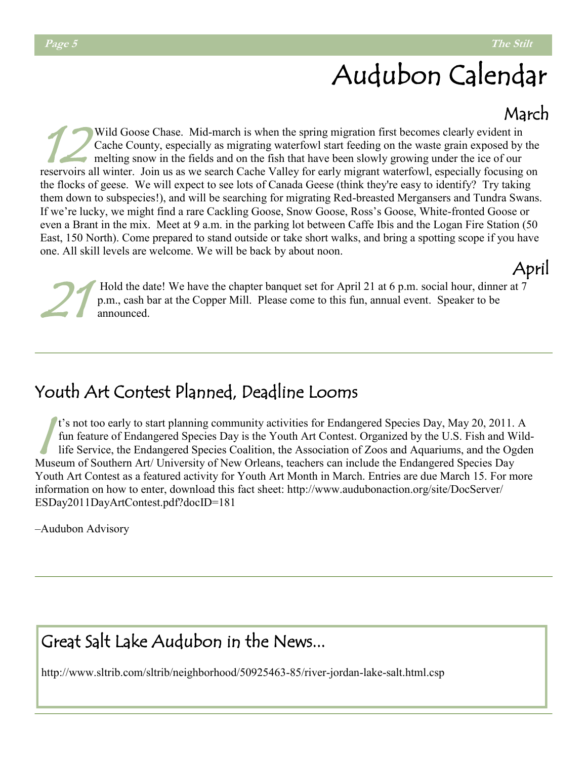# Audubon Calendar

#### March

12 Wild Goose Chase. Mid-march is when the spring migration first becomes clearly evident in Cache County, especially as migrating waterfowl start feeding on the waste grain exposed by the melting snow in the fields and on the fish that have been slowly growing under the ice of our reservoirs all winter. Join us as we search Cache Valley for early migrant waterfowl, especially focusing on the flocks of geese. We will expect to see lots of Canada Geese (think they're easy to identify? Try taking them down to subspecies!), and will be searching for migrating Red-breasted Mergansers and Tundra Swans. If we're lucky, we might find a rare Cackling Goose, Snow Goose, Ross's Goose, White-fronted Goose or even a Brant in the mix. Meet at 9 a.m. in the parking lot between Caffe Ibis and the Logan Fire Station (50 East, 150 North). Come prepared to stand outside or take short walks, and bring a spotting scope if you have one. All skill levels are welcome. We will be back by about noon.

#### April

21 Hold the date! We have the chapter banquet set for April 21 at 6 p.m. social hour, dinner at 7 p.m., cash bar at the Copper Mill. Please come to this fun, annual event. Speaker to be announced.

#### Youth Art Contest Planned, Deadline Looms

t's not too early to start planning community activities for Endangered Species Day, May 20, 2011. A<br>fun feature of Endangered Species Day is the Youth Art Contest. Organized by the U.S. Fish and Wild<br>life Service, the End fun feature of Endangered Species Day is the Youth Art Contest. Organized by the U.S. Fish and Wildlife Service, the Endangered Species Coalition, the Association of Zoos and Aquariums, and the Ogden Museum of Southern Art/ University of New Orleans, teachers can include the Endangered Species Day Youth Art Contest as a featured activity for Youth Art Month in March. Entries are due March 15. For more information on how to enter, download this fact sheet: http://www.audubonaction.org/site/DocServer/ ESDay2011DayArtContest.pdf?docID=181

–Audubon Advisory

#### Great Salt Lake Audubon in the News...

http://www.sltrib.com/sltrib/neighborhood/50925463-85/river-jordan-lake-salt.html.csp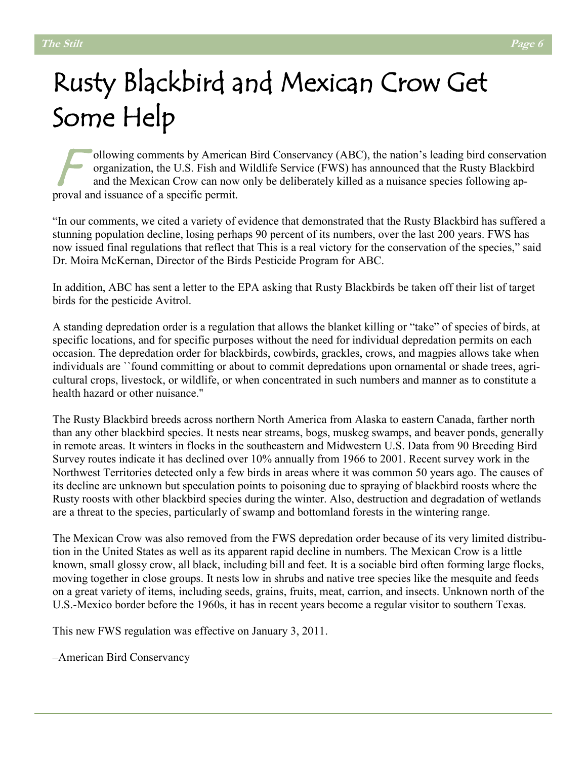# Rusty Blackbird and Mexican Crow Get Some Help

F ollowing comments by American Bird Conservancy (ABC), the nation's leading bird conservation organization, the U.S. Fish and Wildlife Service (FWS) has announced that the Rusty Blackbird and the Mexican Crow can now only be deliberately killed as a nuisance species following approval and issuance of a specific permit.

"In our comments, we cited a variety of evidence that demonstrated that the Rusty Blackbird has suffered a stunning population decline, losing perhaps 90 percent of its numbers, over the last 200 years. FWS has now issued final regulations that reflect that This is a real victory for the conservation of the species," said Dr. Moira McKernan, Director of the Birds Pesticide Program for ABC.

In addition, ABC has sent a letter to the EPA asking that Rusty Blackbirds be taken off their list of target birds for the pesticide Avitrol.

A standing depredation order is a regulation that allows the blanket killing or "take" of species of birds, at specific locations, and for specific purposes without the need for individual depredation permits on each occasion. The depredation order for blackbirds, cowbirds, grackles, crows, and magpies allows take when individuals are ``found committing or about to commit depredations upon ornamental or shade trees, agricultural crops, livestock, or wildlife, or when concentrated in such numbers and manner as to constitute a health hazard or other nuisance.''

The Rusty Blackbird breeds across northern North America from Alaska to eastern Canada, farther north than any other blackbird species. It nests near streams, bogs, muskeg swamps, and beaver ponds, generally in remote areas. It winters in flocks in the southeastern and Midwestern U.S. Data from 90 Breeding Bird Survey routes indicate it has declined over 10% annually from 1966 to 2001. Recent survey work in the Northwest Territories detected only a few birds in areas where it was common 50 years ago. The causes of its decline are unknown but speculation points to poisoning due to spraying of blackbird roosts where the Rusty roosts with other blackbird species during the winter. Also, destruction and degradation of wetlands are a threat to the species, particularly of swamp and bottomland forests in the wintering range.

The Mexican Crow was also removed from the FWS depredation order because of its very limited distribution in the United States as well as its apparent rapid decline in numbers. The Mexican Crow is a little known, small glossy crow, all black, including bill and feet. It is a sociable bird often forming large flocks, moving together in close groups. It nests low in shrubs and native tree species like the mesquite and feeds on a great variety of items, including seeds, grains, fruits, meat, carrion, and insects. Unknown north of the U.S.-Mexico border before the 1960s, it has in recent years become a regular visitor to southern Texas.

This new FWS regulation was effective on January 3, 2011.

–American Bird Conservancy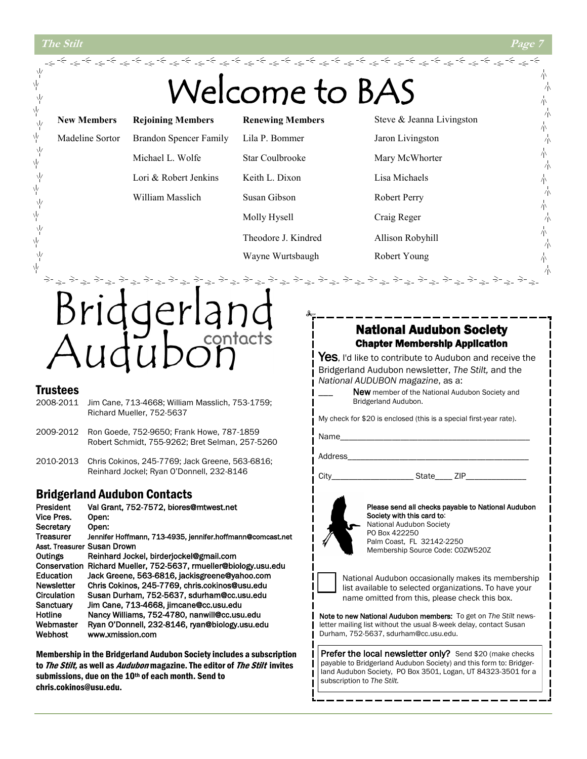

#### **Trustees**

- 2008-2011 Jim Cane, 713-4668; William Masslich, 753-1759; Richard Mueller, 752-5637
- 2009-2012 Ron Goede, 752-9650; Frank Howe, 787-1859 Robert Schmidt, 755-9262; Bret Selman, 257-5260
- 2010-2013 Chris Cokinos, 245-7769; Jack Greene, 563-6816; Reinhard Jockel; Ryan O'Donnell, 232-8146

#### Bridgerland Audubon Contacts

| President         | Val Grant, 752-7572, biores@mtwest.net                     |
|-------------------|------------------------------------------------------------|
| Vice Pres.        | Open:                                                      |
| Secretary         | Open:                                                      |
| <b>Treasurer</b>  | Jennifer Hoffmann, 713-4935, jennifer.hoffmann@comcast.net |
|                   | Asst. Treasurer Susan Drown                                |
| Outings           | Reinhard Jockel, birderjockel@gmail.com                    |
| Conservation      | Richard Mueller, 752-5637, rmueller@biology.usu.edu        |
| Education         | Jack Greene, 563-6816, jackisgreene@yahoo.com              |
| <b>Newsletter</b> | Chris Cokinos, 245-7769, chris.cokinos@usu.edu             |
| Circulation       | Susan Durham, 752-5637, sdurham@cc.usu.edu                 |
| Sanctuary         | Jim Cane, 713-4668, jimcane@cc.usu.edu                     |
| Hotline           | Nancy Williams, 752-4780, nanwill@cc.usu.edu               |
| Webmaster         | Ryan O'Donnell, 232-8146, ryan@biology.usu.edu             |
| Webhost           | www.xmission.com                                           |

Membership in the Bridgerland Audubon Society includes a subscription to The Stilt, as well as *Audubon* magazine. The editor of The Stilt invites submissions, due on the 10<sup>th</sup> of each month. Send to chris.cokinos@usu.edu.

*National AUDUBON magazine*, as a:

New member of the National Audubon Society and Bridgerland Audubon.

My check for \$20 is enclosed (this is a special first-year rate).

Name\_

Address

City\_\_\_\_\_\_\_\_\_\_\_\_\_\_\_\_\_\_\_ State\_\_\_\_ ZIP\_\_\_\_\_\_\_\_\_\_\_\_\_\_



Please send all checks payable to National Audubon Society with this card to: National Audubon Society PO Box 422250 Palm Coast, FL 32142-2250 Membership Source Code: C0ZW520Z



National Audubon occasionally makes its membership list available to selected organizations. To have your name omitted from this, please check this box.

Note to new National Audubon members: To get on *The Stilt* newsletter mailing list without the usual 8-week delay, contact Susan Durham, 752-5637, sdurham@cc.usu.edu.

Prefer the local newsletter only? Send \$20 (make checks payable to Bridgerland Audubon Society) and this form to: Bridgerland Audubon Society, PO Box 3501, Logan, UT 84323-3501 for a subscription to *The Stilt.*